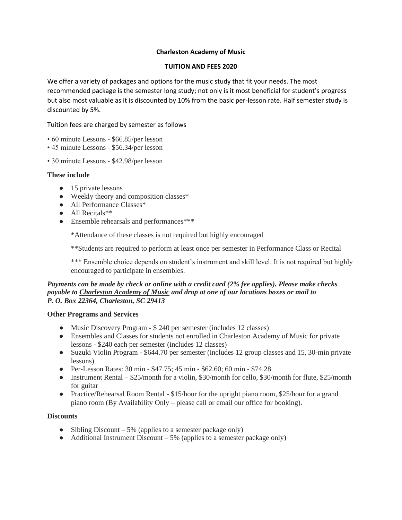### **Charleston Academy of Music**

### **TUITION AND FEES 2020**

We offer a variety of packages and options for the music study that fit your needs. The most recommended package is the semester long study; not only is it most beneficial for student's progress but also most valuable as it is discounted by 10% from the basic per-lesson rate. Half semester study is discounted by 5%.

Tuition fees are charged by semester as follows

- 60 minute Lessons \$66.85/per lesson
- 45 minute Lessons \$56.34/per lesson
- 30 minute Lessons \$42.98/per lesson

#### **These include**

- 15 private lessons
- Weekly theory and composition classes\*
- All Performance Classes\*
- All Recitals\*\*
- Ensemble rehearsals and performances\*\*\*

\*Attendance of these classes is not required but highly encouraged

\*\*Students are required to perform at least once per semester in Performance Class or Recital

\*\*\* Ensemble choice depends on student's instrument and skill level. It is not required but highly encouraged to participate in ensembles.

#### *Payments can be made by check or online with a credit card (2% fee applies). Please make checks payable to Charleston Academy of Music and drop at one of our locations boxes or mail to P. O. Box 22364, Charleston, SC 29413*

#### **Other Programs and Services**

- Music Discovery Program \$ 240 per semester (includes 12 classes)
- Ensembles and Classes for students not enrolled in Charleston Academy of Music for private lessons - \$240 each per semester (includes 12 classes)
- Suzuki Violin Program \$644.70 per semester (includes 12 group classes and 15, 30-min private lessons)
- Per-Lesson Rates: 30 min \$47.75; 45 min \$62.60; 60 min \$74.28
- Instrument Rental \$25/month for a violin, \$30/month for cello, \$30/month for flute, \$25/month for guitar
- Practice/Rehearsal Room Rental \$15/hour for the upright piano room, \$25/hour for a grand piano room (By Availability Only – please call or email our office for booking).

#### **Discounts**

- Sibling Discount  $-5\%$  (applies to a semester package only)
- Additional Instrument Discount  $-5\%$  (applies to a semester package only)